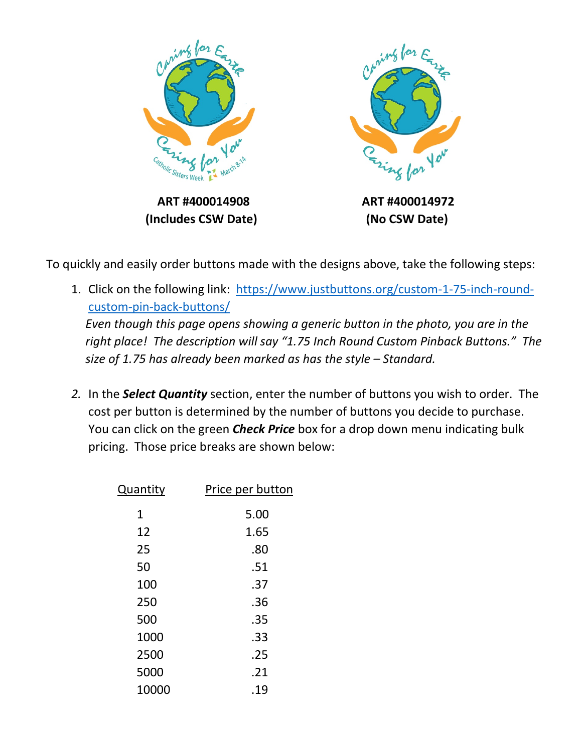

To quickly and easily order buttons made with the designs above, take the following steps:

- 1. Click on the following link: [https://www.justbuttons.org/custom-1-75-inch-round](https://www.justbuttons.org/custom-1-75-inch-round-custom-pin-back-buttons/)[custom-pin-back-buttons/](https://www.justbuttons.org/custom-1-75-inch-round-custom-pin-back-buttons/) *Even though this page opens showing a generic button in the photo, you are in the right place! The description will say "1.75 Inch Round Custom Pinback Buttons." The size of 1.75 has already been marked as has the style – Standard.*
- *2.* In the *Select Quantity* section, enter the number of buttons you wish to order. The cost per button is determined by the number of buttons you decide to purchase. You can click on the green *Check Price* box for a drop down menu indicating bulk pricing. Those price breaks are shown below:

| Quantity | Price per button |
|----------|------------------|
| 1        | 5.00             |
| 12       | 1.65             |
| 25       | .80              |
| 50       | .51              |
| 100      | .37              |
| 250      | .36              |
| 500      | .35              |
| 1000     | .33              |
| 2500     | .25              |
| 5000     | .21              |
| 10000    | .19              |